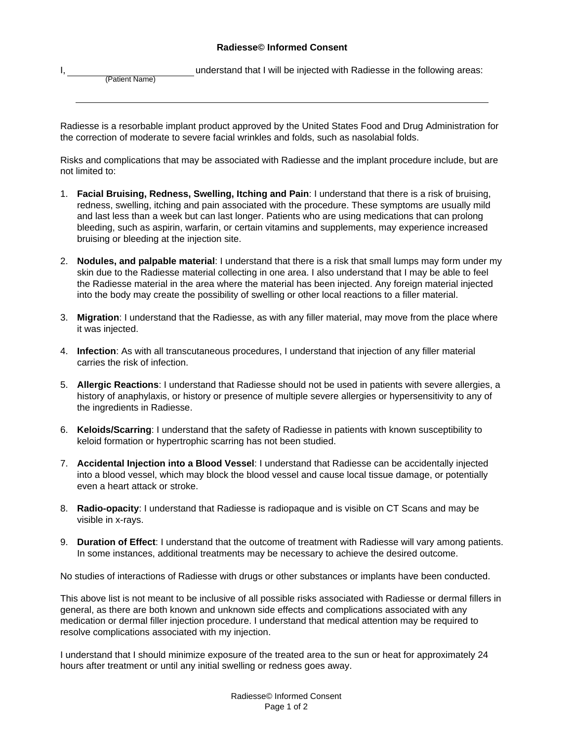## **Radiesse© Informed Consent**

I, **I** understand that I will be injected with Radiesse in the following areas:

(Patient Name)

Radiesse is a resorbable implant product approved by the United States Food and Drug Administration for the correction of moderate to severe facial wrinkles and folds, such as nasolabial folds.

Risks and complications that may be associated with Radiesse and the implant procedure include, but are not limited to:

- 1. **Facial Bruising, Redness, Swelling, Itching and Pain**: I understand that there is a risk of bruising, redness, swelling, itching and pain associated with the procedure. These symptoms are usually mild and last less than a week but can last longer. Patients who are using medications that can prolong bleeding, such as aspirin, warfarin, or certain vitamins and supplements, may experience increased bruising or bleeding at the injection site.
- 2. **Nodules, and palpable material**: I understand that there is a risk that small lumps may form under my skin due to the Radiesse material collecting in one area. I also understand that I may be able to feel the Radiesse material in the area where the material has been injected. Any foreign material injected into the body may create the possibility of swelling or other local reactions to a filler material.
- 3. **Migration**: I understand that the Radiesse, as with any filler material, may move from the place where it was injected.
- 4. **Infection**: As with all transcutaneous procedures, I understand that injection of any filler material carries the risk of infection.
- 5. **Allergic Reactions**: I understand that Radiesse should not be used in patients with severe allergies, a history of anaphylaxis, or history or presence of multiple severe allergies or hypersensitivity to any of the ingredients in Radiesse.
- 6. **Keloids/Scarring**: I understand that the safety of Radiesse in patients with known susceptibility to keloid formation or hypertrophic scarring has not been studied.
- 7. **Accidental Injection into a Blood Vessel**: I understand that Radiesse can be accidentally injected into a blood vessel, which may block the blood vessel and cause local tissue damage, or potentially even a heart attack or stroke.
- 8. **Radio-opacity**: I understand that Radiesse is radiopaque and is visible on CT Scans and may be visible in x-rays.
- 9. **Duration of Effect**: I understand that the outcome of treatment with Radiesse will vary among patients. In some instances, additional treatments may be necessary to achieve the desired outcome.

No studies of interactions of Radiesse with drugs or other substances or implants have been conducted.

This above list is not meant to be inclusive of all possible risks associated with Radiesse or dermal fillers in general, as there are both known and unknown side effects and complications associated with any medication or dermal filler injection procedure. I understand that medical attention may be required to resolve complications associated with my injection.

I understand that I should minimize exposure of the treated area to the sun or heat for approximately 24 hours after treatment or until any initial swelling or redness goes away.